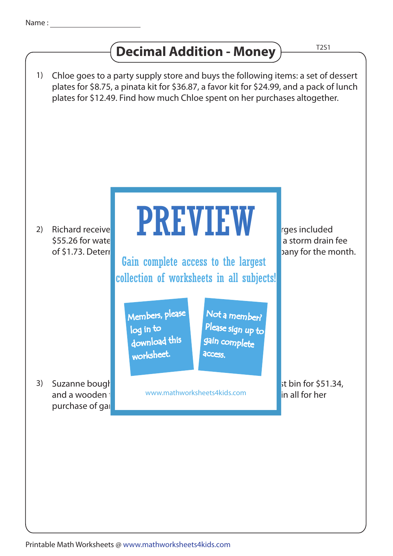## **Decimal Addition - Money** T2S1

Chloe goes to a party supply store and buys the following items: a set of dessert plates for \$8.75, a pinata kit for \$36.87, a favor kit for \$24.99, and a pack of lunch plates for \$12.49. Find how much Chloe spent on her purchases altogether. Richard receive**d the charges included** his water utility bill for September. The charges included  $\overline{\phantom{1}}$ \$55.26 for wate of \$1.73. Determine to the total amount due to the utility company for the month.  $st bin for  $$51.34$ ,$ and a wooden to the www.mathworksheets4kids.com **the spend in all for her** in all for her purchase of gar 1) 2) 3) Suzanne bough PREVIEW Members, please download this worksheet. log in to Not a member? gain complete Please sign up to **access** Gain complete access to the largest collection of worksheets in all subjects!